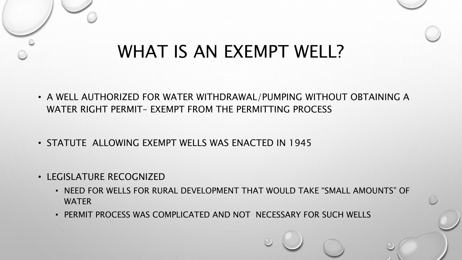### WHAT IS AN EXEMPT WELL?

- A WELL AUTHORIZED FOR WATER WITHDRAWAL/PUMPING WITHOUT OBTAINING A WATER RIGHT PERMIT– EXEMPT FROM THE PERMITTING PROCESS
- STATUTE ALLOWING EXEMPT WELLS WAS ENACTED IN 1945
- LEGISLATURE RECOGNIZED
	- NEED FOR WELLS FOR RURAL DEVELOPMENT THAT WOULD TAKE "SMALL AMOUNTS" OF **WATER**
	- PERMIT PROCESS WAS COMPLICATED AND NOT NECESSARY FOR SUCH WELLS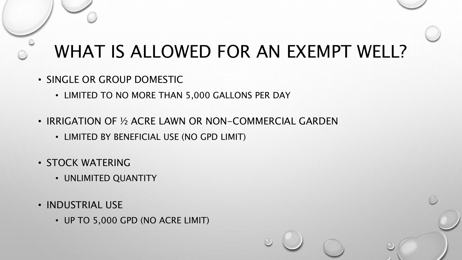# WHAT IS ALLOWED FOR AN EXEMPT WELL?

- SINGLE OR GROUP DOMESTIC
	- LIMITED TO NO MORE THAN 5,000 GALLONS PER DAY
- IRRIGATION OF ½ ACRE LAWN OR NON-COMMERCIAL GARDEN
	- LIMITED BY BENEFICIAL USE (NO GPD LIMIT)
- STOCK WATERING
	- UNLIMITED QUANTITY
- INDUSTRIAL USE
	- UP TO 5,000 GPD (NO ACRE LIMIT)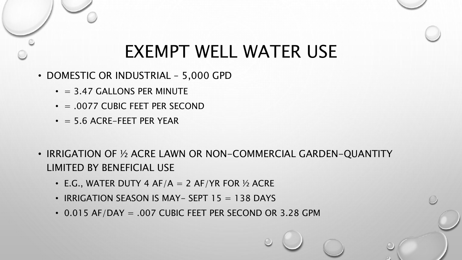#### EXEMPT WELL WATER USE

- DOMESTIC OR INDUSTRIAL 5,000 GPD
	- $\cdot$  = 3.47 GALLONS PER MINUTE
	- $\cdot$  = .0077 CUBIC FEET PER SECOND
	- $\cdot$  = 5.6 ACRE-FEET PER YEAR
- IRRIGATION OF ½ ACRE LAWN OR NON-COMMERCIAL GARDEN-QUANTITY LIMITED BY BENEFICIAL USE
	- E.G., WATER DUTY 4 AF/A  $= 2$  AF/YR FOR  $\frac{1}{2}$  ACRE
	- IRRIGATION SEASON IS MAY- SEPT  $15 = 138$  DAYS
	- 0.015 AF/DAY = .007 CUBIC FEET PER SECOND OR 3.28 GPM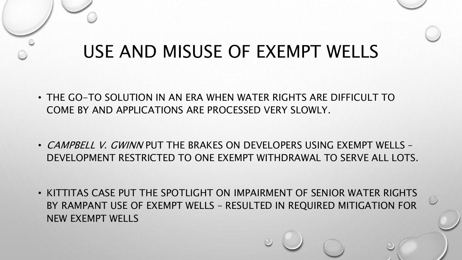# USE AND MISUSE OF EXEMPT WELLS

- THE GO-TO SOLUTION IN AN ERA WHEN WATER RIGHTS ARE DIFFICULT TO COME BY AND APPLICATIONS ARE PROCESSED VERY SLOWLY.
- CAMPBELL V. GWINN PUT THE BRAKES ON DEVELOPERS USING EXEMPT WELLS -DEVELOPMENT RESTRICTED TO ONE EXEMPT WITHDRAWAL TO SERVE ALL LOTS.
- KITTITAS CASE PUT THE SPOTLIGHT ON IMPAIRMENT OF SENIOR WATER RIGHTS BY RAMPANT USE OF EXEMPT WELLS – RESULTED IN REQUIRED MITIGATION FOR NEW EXEMPT WELLS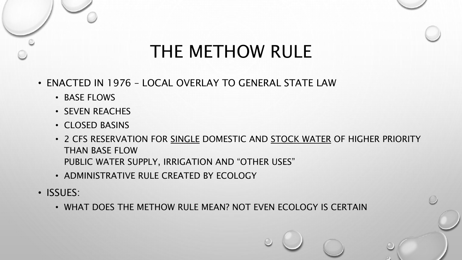# THE METHOW RULE

- ENACTED IN 1976 LOCAL OVERLAY TO GENERAL STATE LAW
	- BASE FLOWS
	- SEVEN REACHES
	- CLOSED BASINS
	- 2 CFS RESERVATION FOR SINGLE DOMESTIC AND STOCK WATER OF HIGHER PRIORITY THAN BASE FLOW PUBLIC WATER SUPPLY, IRRIGATION AND "OTHER USES"
	- ADMINISTRATIVE RULE CREATED BY ECOLOGY
- ISSUES:
	- WHAT DOES THE METHOW RULE MEAN? NOT EVEN ECOLOGY IS CERTAIN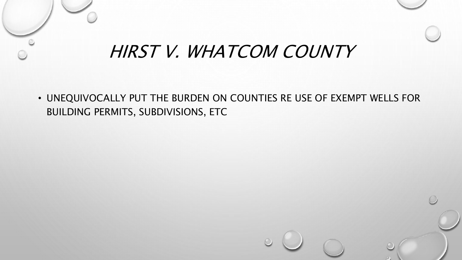### HIRST V. WHATCOM COUNTY

• UNEQUIVOCALLY PUT THE BURDEN ON COUNTIES RE USE OF EXEMPT WELLS FOR BUILDING PERMITS, SUBDIVISIONS, ETC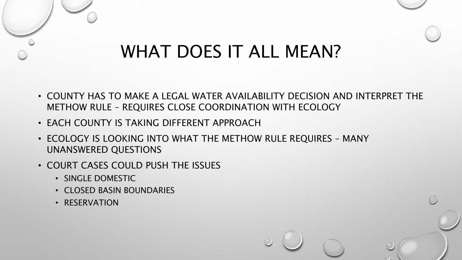# WHAT DOES IT ALL MEAN?

- COUNTY HAS TO MAKE A LEGAL WATER AVAILABILITY DECISION AND INTERPRET THE METHOW RULE – REQUIRES CLOSE COORDINATION WITH ECOLOGY
- EACH COUNTY IS TAKING DIFFERENT APPROACH
- ECOLOGY IS LOOKING INTO WHAT THE METHOW RULE REQUIRES MANY UNANSWERED QUESTIONS
- COURT CASES COULD PUSH THE ISSUES
	- SINGLE DOMESTIC
	- CLOSED BASIN BOUNDARIES
	- RESERVATION